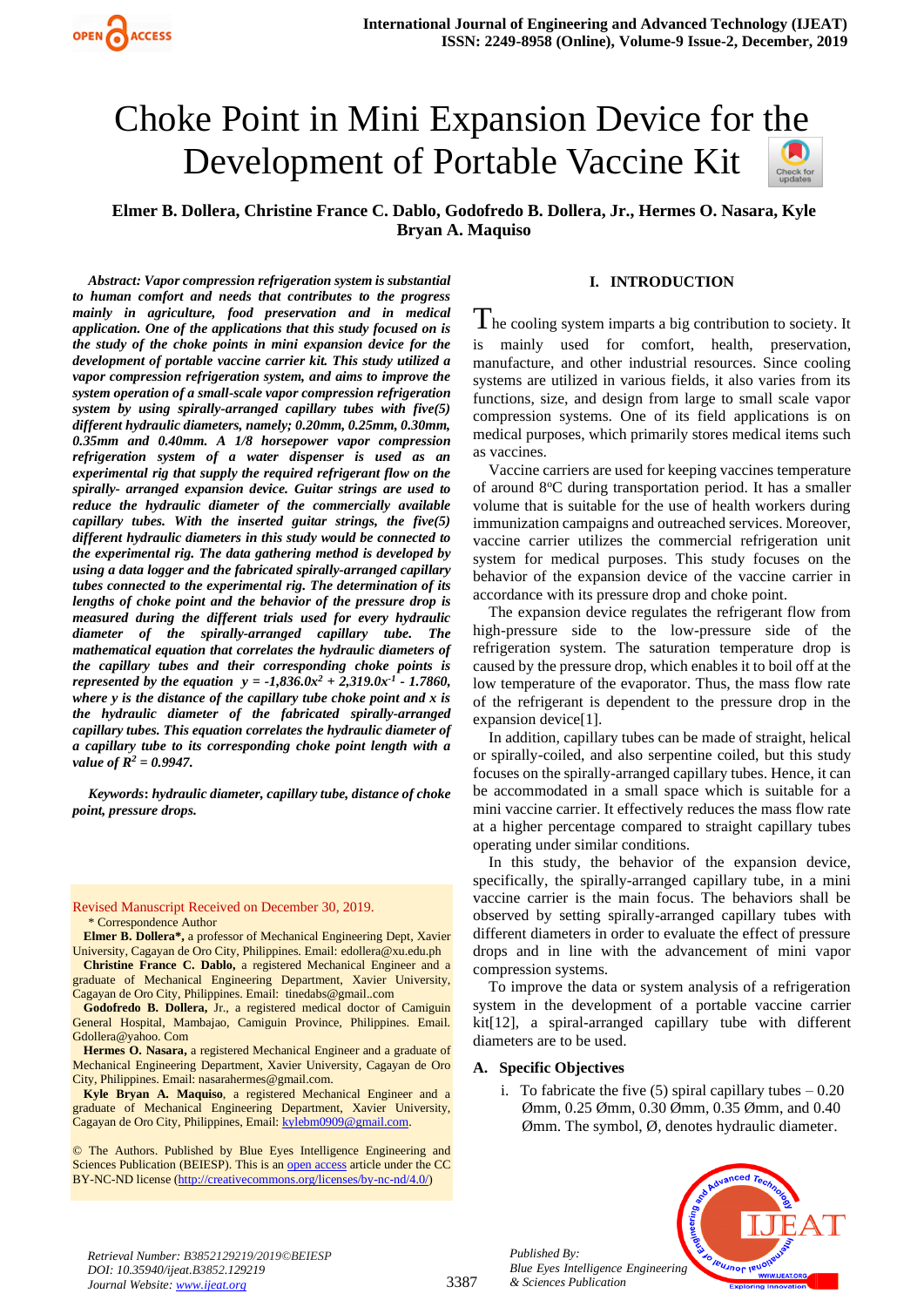# Choke Point in Mini Expansion Device for [the](https://crossmark.crossref.org/dialog/?doi=10.35940/ijeat.B3852.129219&domain=www.ijeat.org)  Development of Portable Vaccine Kit

**Elmer B. Dollera, Christine France C. Dablo, Godofredo B. Dollera, Jr., Hermes O. Nasara, Kyle Bryan A. Maquiso**

*Abstract: Vapor compression refrigeration system is substantial to human comfort and needs that contributes to the progress mainly in agriculture, food preservation and in medical application. One of the applications that this study focused on is the study of the choke points in mini expansion device for the development of portable vaccine carrier kit. This study utilized a vapor compression refrigeration system, and aims to improve the system operation of a small-scale vapor compression refrigeration system by using spirally-arranged capillary tubes with five(5) different hydraulic diameters, namely; 0.20mm, 0.25mm, 0.30mm, 0.35mm and 0.40mm. A 1/8 horsepower vapor compression refrigeration system of a water dispenser is used as an experimental rig that supply the required refrigerant flow on the spirally- arranged expansion device. Guitar strings are used to reduce the hydraulic diameter of the commercially available capillary tubes. With the inserted guitar strings, the five(5) different hydraulic diameters in this study would be connected to the experimental rig. The data gathering method is developed by using a data logger and the fabricated spirally-arranged capillary tubes connected to the experimental rig. The determination of its lengths of choke point and the behavior of the pressure drop is measured during the different trials used for every hydraulic diameter of the spirally-arranged capillary tube. The mathematical equation that correlates the hydraulic diameters of the capillary tubes and their corresponding choke points is represented by the equation y =*  $-1,836.0x^2 + 2,319.0x^2 - 1.7860$ *, where y is the distance of the capillary tube choke point and x is the hydraulic diameter of the fabricated spirally-arranged capillary tubes. This equation correlates the hydraulic diameter of a capillary tube to its corresponding choke point length with a value of R<sup>2</sup> = 0.9947.*

*Keywords***:** *hydraulic diameter, capillary tube, distance of choke point, pressure drops.* 

Revised Manuscript Received on December 30, 2019. \* Correspondence Author

**Elmer B. Dollera\*,** a professor of Mechanical Engineering Dept, Xavier University, Cagayan de Oro City, Philippines. Email[: edollera@xu.edu.ph](mailto:edollera@xu.edu.ph)

**Christine France C. Dablo,** a registered Mechanical Engineer and a graduate of Mechanical Engineering Department, Xavier University, Cagayan de Oro City, Philippines. Email: [tinedabs@gmail..com](mailto:tinedabs@gmail..com)

**Godofredo B. Dollera,** Jr., a registered medical doctor of Camiguin General Hospital, Mambajao, Camiguin Province, Philippines. Email. Gdollera@yahoo. Com

**Hermes O. Nasara,** a registered Mechanical Engineer and a graduate of Mechanical Engineering Department, Xavier University, Cagayan de Oro City, Philippines. Email: [nasarahermes@gmail.com.](mailto:nasarahermes@gmail.com)

**Kyle Bryan A. Maquiso**, a registered Mechanical Engineer and a graduate of Mechanical Engineering Department, Xavier University, Cagayan de Oro City, Philippines, Email: [kylebm0909@gmail.com.](mailto:kylebm0909@gmail.com)

© The Authors. Published by Blue Eyes Intelligence Engineering and Sciences Publication (BEIESP). This is a[n open access](https://www.openaccess.nl/en/open-publications) article under the CC BY-NC-ND license [\(http://creativecommons.org/licenses/by-nc-nd/4.0/\)](http://creativecommons.org/licenses/by-nc-nd/4.0/)

# **I. INTRODUCTION**

 $\rm T$ he cooling system imparts a big contribution to society. It is mainly used for comfort, health, preservation, manufacture, and other industrial resources. Since cooling systems are utilized in various fields, it also varies from its functions, size, and design from large to small scale vapor compression systems. One of its field applications is on medical purposes, which primarily stores medical items such as vaccines.

Vaccine carriers are used for keeping vaccines temperature of around 8°C during transportation period. It has a smaller volume that is suitable for the use of health workers during immunization campaigns and outreached services. Moreover, vaccine carrier utilizes the commercial refrigeration unit system for medical purposes. This study focuses on the behavior of the expansion device of the vaccine carrier in accordance with its pressure drop and choke point.

The expansion device regulates the refrigerant flow from high-pressure side to the low-pressure side of the refrigeration system. The saturation temperature drop is caused by the pressure drop, which enables it to boil off at the low temperature of the evaporator. Thus, the mass flow rate of the refrigerant is dependent to the pressure drop in the expansion device[1].

In addition, capillary tubes can be made of straight, helical or spirally-coiled, and also serpentine coiled, but this study focuses on the spirally-arranged capillary tubes. Hence, it can be accommodated in a small space which is suitable for a mini vaccine carrier. It effectively reduces the mass flow rate at a higher percentage compared to straight capillary tubes operating under similar conditions.

In this study, the behavior of the expansion device, specifically, the spirally-arranged capillary tube, in a mini vaccine carrier is the main focus. The behaviors shall be observed by setting spirally-arranged capillary tubes with different diameters in order to evaluate the effect of pressure drops and in line with the advancement of mini vapor compression systems.

To improve the data or system analysis of a refrigeration system in the development of a portable vaccine carrier kit[12], a spiral-arranged capillary tube with different diameters are to be used.

# **A. Specific Objectives**

*Published By:*

i. To fabricate the five  $(5)$  spiral capillary tubes  $-0.20$ Ømm, 0.25 Ømm, 0.30 Ømm, 0.35 Ømm, and 0.40 Ømm. The symbol, Ø, denotes hydraulic diameter.



*Retrieval Number: B3852129219/2019©BEIESP DOI: 10.35940/ijeat.B3852.129219 Journal Website[: www.ijeat.org](http://www.ijeat.org/)*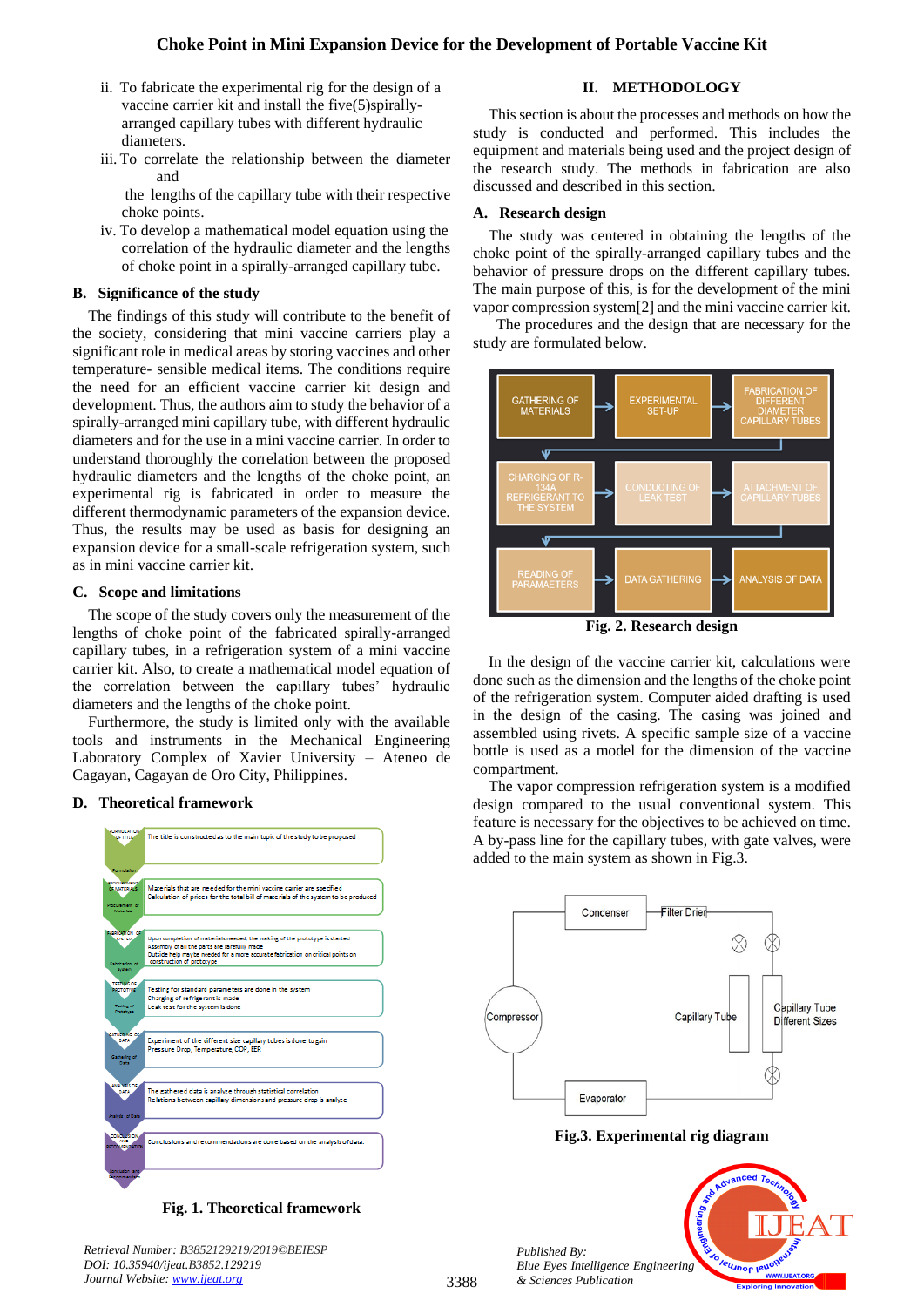- ii. To fabricate the experimental rig for the design of a vaccine carrier kit and install the five(5)spirallyarranged capillary tubes with different hydraulic diameters.
- iii. To correlate the relationship between the diameter and

the lengths of the capillary tube with their respective choke points.

iv. To develop a mathematical model equation using the correlation of the hydraulic diameter and the lengths of choke point in a spirally-arranged capillary tube.

## **B. Significance of the study**

The findings of this study will contribute to the benefit of the society, considering that mini vaccine carriers play a significant role in medical areas by storing vaccines and other temperature- sensible medical items. The conditions require the need for an efficient vaccine carrier kit design and development. Thus, the authors aim to study the behavior of a spirally-arranged mini capillary tube, with different hydraulic diameters and for the use in a mini vaccine carrier. In order to understand thoroughly the correlation between the proposed hydraulic diameters and the lengths of the choke point, an experimental rig is fabricated in order to measure the different thermodynamic parameters of the expansion device. Thus, the results may be used as basis for designing an expansion device for a small-scale refrigeration system, such as in mini vaccine carrier kit.

# **C. Scope and limitations**

The scope of the study covers only the measurement of the lengths of choke point of the fabricated spirally-arranged capillary tubes, in a refrigeration system of a mini vaccine carrier kit. Also, to create a mathematical model equation of the correlation between the capillary tubes' hydraulic diameters and the lengths of the choke point.

Furthermore, the study is limited only with the available tools and instruments in the Mechanical Engineering Laboratory Complex of Xavier University – Ateneo de Cagayan, Cagayan de Oro City, Philippines.

# **D. Theoretical framework**



**Fig. 1. Theoretical framework**

## **II. METHODOLOGY**

This section is about the processes and methods on how the study is conducted and performed. This includes the equipment and materials being used and the project design of the research study. The methods in fabrication are also discussed and described in this section.

## **A. Research design**

The study was centered in obtaining the lengths of the choke point of the spirally-arranged capillary tubes and the behavior of pressure drops on the different capillary tubes. The main purpose of this, is for the development of the mini vapor compression system[2] and the mini vaccine carrier kit.

 The procedures and the design that are necessary for the study are formulated below.



**Fig. 2. Research design**

In the design of the vaccine carrier kit, calculations were done such as the dimension and the lengths of the choke point of the refrigeration system. Computer aided drafting is used in the design of the casing. The casing was joined and assembled using rivets. A specific sample size of a vaccine bottle is used as a model for the dimension of the vaccine compartment.

The vapor compression refrigeration system is a modified design compared to the usual conventional system. This feature is necessary for the objectives to be achieved on time. A by-pass line for the capillary tubes, with gate valves, were added to the main system as shown in Fig.3.



**Fig.3. Experimental rig diagram**

*Published By: Blue Eyes Intelligence Engineering & Sciences Publication* 

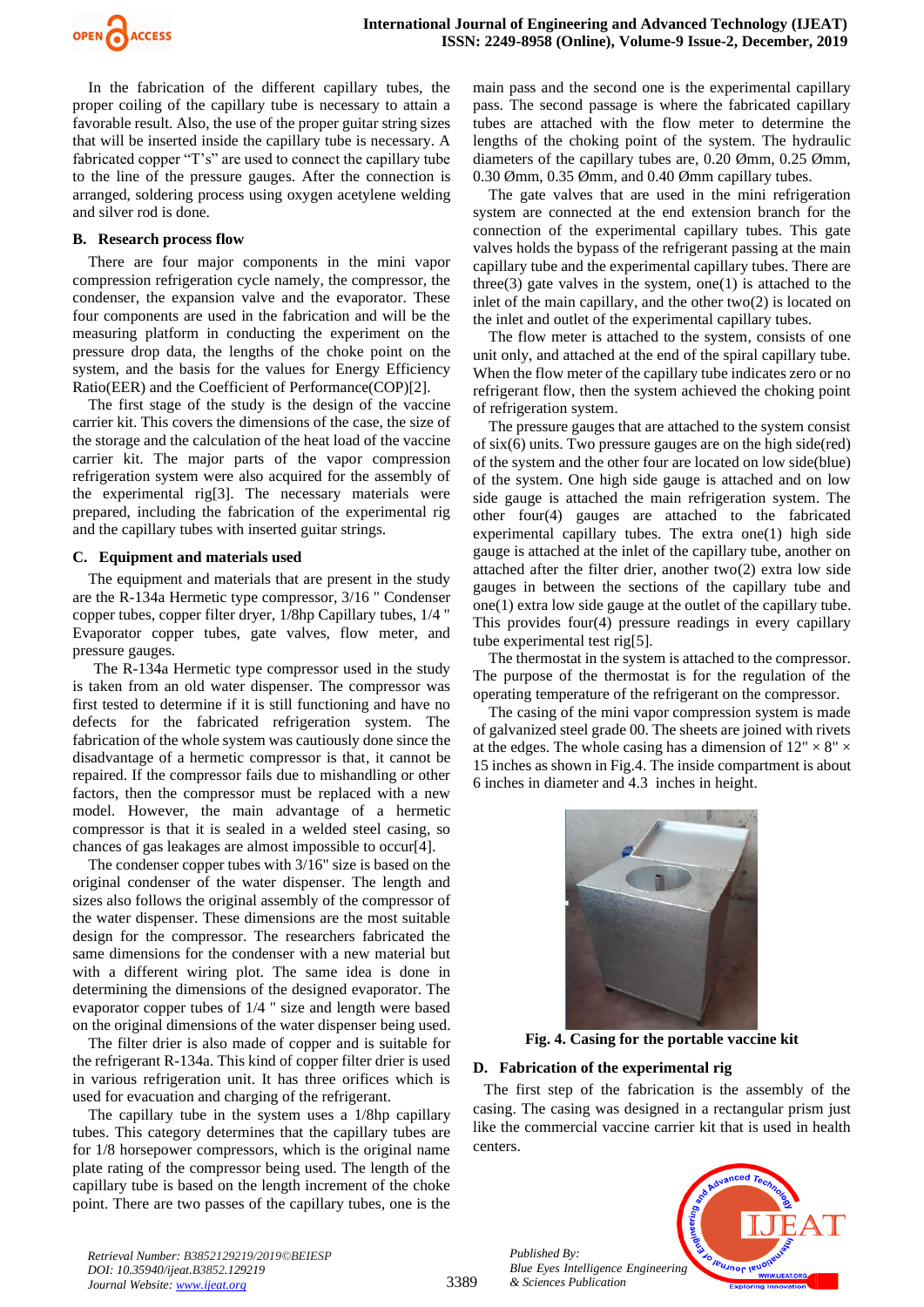

In the fabrication of the different capillary tubes, the proper coiling of the capillary tube is necessary to attain a favorable result. Also, the use of the proper guitar string sizes that will be inserted inside the capillary tube is necessary. A fabricated copper "T's" are used to connect the capillary tube to the line of the pressure gauges. After the connection is arranged, soldering process using oxygen acetylene welding and silver rod is done.

# **B. Research process flow**

There are four major components in the mini vapor compression refrigeration cycle namely, the compressor, the condenser, the expansion valve and the evaporator. These four components are used in the fabrication and will be the measuring platform in conducting the experiment on the pressure drop data, the lengths of the choke point on the system, and the basis for the values for Energy Efficiency Ratio(EER) and the Coefficient of Performance(COP)[2].

The first stage of the study is the design of the vaccine carrier kit. This covers the dimensions of the case, the size of the storage and the calculation of the heat load of the vaccine carrier kit. The major parts of the vapor compression refrigeration system were also acquired for the assembly of the experimental rig[3]. The necessary materials were prepared, including the fabrication of the experimental rig and the capillary tubes with inserted guitar strings.

# **C. Equipment and materials used**

The equipment and materials that are present in the study are the R-134a Hermetic type compressor, 3/16 " Condenser copper tubes, copper filter dryer, 1/8hp Capillary tubes, 1/4 " Evaporator copper tubes, gate valves, flow meter, and pressure gauges.

The R-134a Hermetic type compressor used in the study is taken from an old water dispenser. The compressor was first tested to determine if it is still functioning and have no defects for the fabricated refrigeration system. The fabrication of the whole system was cautiously done since the disadvantage of a hermetic compressor is that, it cannot be repaired. If the compressor fails due to mishandling or other factors, then the compressor must be replaced with a new model. However, the main advantage of a hermetic compressor is that it is sealed in a welded steel casing, so chances of gas leakages are almost impossible to occur[4].

The condenser copper tubes with 3/16" size is based on the original condenser of the water dispenser. The length and sizes also follows the original assembly of the compressor of the water dispenser. These dimensions are the most suitable design for the compressor. The researchers fabricated the same dimensions for the condenser with a new material but with a different wiring plot. The same idea is done in determining the dimensions of the designed evaporator. The evaporator copper tubes of 1/4 " size and length were based on the original dimensions of the water dispenser being used.

The filter drier is also made of copper and is suitable for the refrigerant R-134a. This kind of copper filter drier is used in various refrigeration unit. It has three orifices which is used for evacuation and charging of the refrigerant.

The capillary tube in the system uses a 1/8hp capillary tubes. This category determines that the capillary tubes are for 1/8 horsepower compressors, which is the original name plate rating of the compressor being used. The length of the capillary tube is based on the length increment of the choke point. There are two passes of the capillary tubes, one is the main pass and the second one is the experimental capillary pass. The second passage is where the fabricated capillary tubes are attached with the flow meter to determine the lengths of the choking point of the system. The hydraulic diameters of the capillary tubes are, 0.20 Ømm, 0.25 Ømm, 0.30 Ømm, 0.35 Ømm, and 0.40 Ømm capillary tubes.

The gate valves that are used in the mini refrigeration system are connected at the end extension branch for the connection of the experimental capillary tubes. This gate valves holds the bypass of the refrigerant passing at the main capillary tube and the experimental capillary tubes. There are three(3) gate valves in the system, one(1) is attached to the inlet of the main capillary, and the other two(2) is located on the inlet and outlet of the experimental capillary tubes.

The flow meter is attached to the system, consists of one unit only, and attached at the end of the spiral capillary tube. When the flow meter of the capillary tube indicates zero or no refrigerant flow, then the system achieved the choking point of refrigeration system.

The pressure gauges that are attached to the system consist of six(6) units. Two pressure gauges are on the high side(red) of the system and the other four are located on low side(blue) of the system. One high side gauge is attached and on low side gauge is attached the main refrigeration system. The other four(4) gauges are attached to the fabricated experimental capillary tubes. The extra one(1) high side gauge is attached at the inlet of the capillary tube, another on attached after the filter drier, another two(2) extra low side gauges in between the sections of the capillary tube and one(1) extra low side gauge at the outlet of the capillary tube. This provides four(4) pressure readings in every capillary tube experimental test rig[5].

The thermostat in the system is attached to the compressor. The purpose of the thermostat is for the regulation of the operating temperature of the refrigerant on the compressor.

The casing of the mini vapor compression system is made of galvanized steel grade 00. The sheets are joined with rivets at the edges. The whole casing has a dimension of  $12" \times 8" \times$ 15 inches as shown in Fig.4. The inside compartment is about 6 inches in diameter and 4.3 inches in height.



**Fig. 4. Casing for the portable vaccine kit**

# **D. Fabrication of the experimental rig**

The first step of the fabrication is the assembly of the casing. The casing was designed in a rectangular prism just like the commercial vaccine carrier kit that is used in health centers.



*Retrieval Number: B3852129219/2019©BEIESP DOI: 10.35940/ijeat.B3852.129219 Journal Website[: www.ijeat.org](http://www.ijeat.org/)*

*Published By:*

*& Sciences Publication*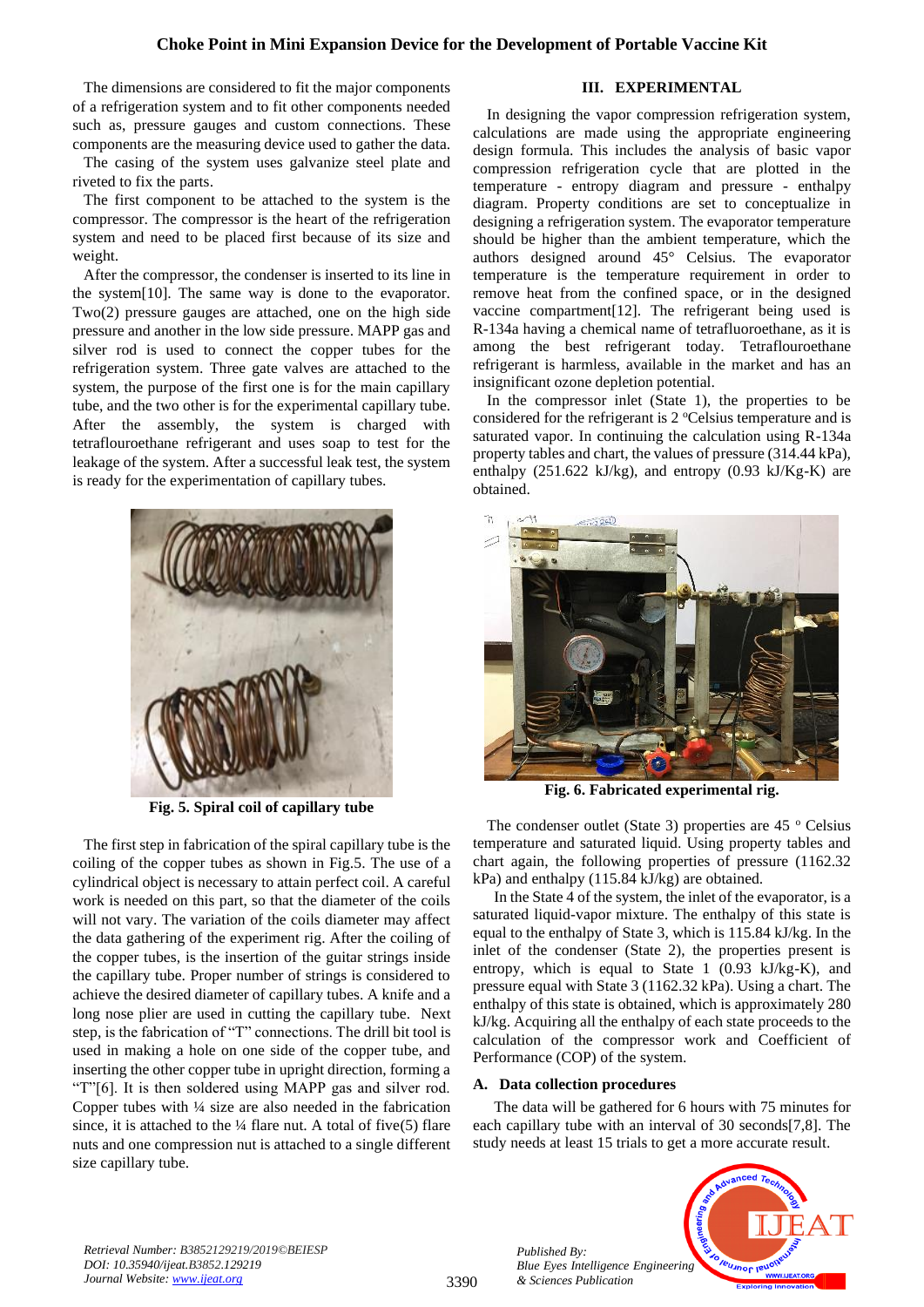# **Choke Point in Mini Expansion Device for the Development of Portable Vaccine Kit**

The dimensions are considered to fit the major components of a refrigeration system and to fit other components needed such as, pressure gauges and custom connections. These components are the measuring device used to gather the data.

The casing of the system uses galvanize steel plate and riveted to fix the parts.

The first component to be attached to the system is the compressor. The compressor is the heart of the refrigeration system and need to be placed first because of its size and weight.

After the compressor, the condenser is inserted to its line in the system[10]. The same way is done to the evaporator. Two(2) pressure gauges are attached, one on the high side pressure and another in the low side pressure. MAPP gas and silver rod is used to connect the copper tubes for the refrigeration system. Three gate valves are attached to the system, the purpose of the first one is for the main capillary tube, and the two other is for the experimental capillary tube. After the assembly, the system is charged with tetraflouroethane refrigerant and uses soap to test for the leakage of the system. After a successful leak test, the system is ready for the experimentation of capillary tubes.



**Fig. 5. Spiral coil of capillary tube**

The first step in fabrication of the spiral capillary tube is the coiling of the copper tubes as shown in Fig.5. The use of a cylindrical object is necessary to attain perfect coil. A careful work is needed on this part, so that the diameter of the coils will not vary. The variation of the coils diameter may affect the data gathering of the experiment rig. After the coiling of the copper tubes, is the insertion of the guitar strings inside the capillary tube. Proper number of strings is considered to achieve the desired diameter of capillary tubes. A knife and a long nose plier are used in cutting the capillary tube. Next step, is the fabrication of "T" connections. The drill bit tool is used in making a hole on one side of the copper tube, and inserting the other copper tube in upright direction, forming a "T"[6]. It is then soldered using MAPP gas and silver rod. Copper tubes with ¼ size are also needed in the fabrication since, it is attached to the  $\frac{1}{4}$  flare nut. A total of five(5) flare nuts and one compression nut is attached to a single different size capillary tube.

# **III. EXPERIMENTAL**

In designing the vapor compression refrigeration system, calculations are made using the appropriate engineering design formula. This includes the analysis of basic vapor compression refrigeration cycle that are plotted in the temperature - entropy diagram and pressure - enthalpy diagram. Property conditions are set to conceptualize in designing a refrigeration system. The evaporator temperature should be higher than the ambient temperature, which the authors designed around 45° Celsius. The evaporator temperature is the temperature requirement in order to remove heat from the confined space, or in the designed vaccine compartment[12]. The refrigerant being used is R-134a having a chemical name of tetrafluoroethane, as it is among the best refrigerant today. Tetraflouroethane refrigerant is harmless, available in the market and has an insignificant ozone depletion potential.

In the compressor inlet (State 1), the properties to be considered for the refrigerant is 2 °Celsius temperature and is saturated vapor. In continuing the calculation using R-134a property tables and chart, the values of pressure (314.44 kPa), enthalpy (251.622 kJ/kg), and entropy (0.93 kJ/Kg-K) are obtained.



**Fig. 6. Fabricated experimental rig.**

The condenser outlet (State 3) properties are  $45^{\circ}$  Celsius temperature and saturated liquid. Using property tables and chart again, the following properties of pressure (1162.32 kPa) and enthalpy (115.84 kJ/kg) are obtained.

In the State 4 of the system, the inlet of the evaporator, is a saturated liquid-vapor mixture. The enthalpy of this state is equal to the enthalpy of State 3, which is 115.84 kJ/kg. In the inlet of the condenser (State 2), the properties present is entropy, which is equal to State 1 (0.93 kJ/kg-K), and pressure equal with State 3 (1162.32 kPa). Using a chart. The enthalpy of this state is obtained, which is approximately 280 kJ/kg. Acquiring all the enthalpy of each state proceeds to the calculation of the compressor work and Coefficient of Performance (COP) of the system.

## **A. Data collection procedures**

The data will be gathered for 6 hours with 75 minutes for each capillary tube with an interval of 30 seconds[7,8]. The study needs at least 15 trials to get a more accurate result.



*Retrieval Number: B3852129219/2019©BEIESP DOI: 10.35940/ijeat.B3852.129219 Journal Website[: www.ijeat.org](http://www.ijeat.org/)*

*Published By: Blue Eyes Intelligence Engineering & Sciences Publication*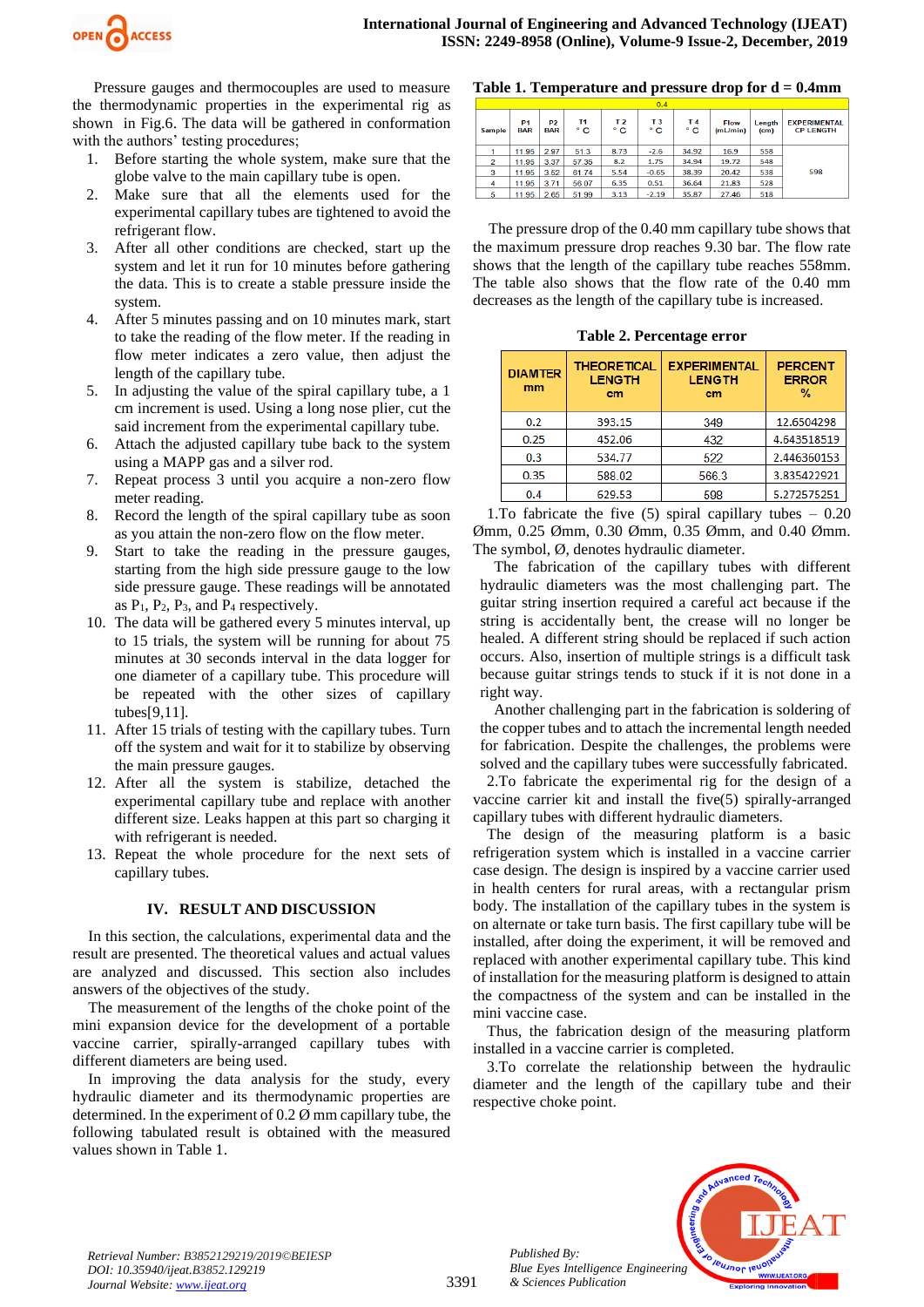

Pressure gauges and thermocouples are used to measure the thermodynamic properties in the experimental rig as shown in Fig.6. The data will be gathered in conformation with the authors' testing procedures;

- 1. Before starting the whole system, make sure that the globe valve to the main capillary tube is open.
- 2. Make sure that all the elements used for the experimental capillary tubes are tightened to avoid the refrigerant flow.
- 3. After all other conditions are checked, start up the system and let it run for 10 minutes before gathering the data. This is to create a stable pressure inside the system.
- 4. After 5 minutes passing and on 10 minutes mark, start to take the reading of the flow meter. If the reading in flow meter indicates a zero value, then adjust the length of the capillary tube.
- 5. In adjusting the value of the spiral capillary tube, a 1 cm increment is used. Using a long nose plier, cut the said increment from the experimental capillary tube.
- 6. Attach the adjusted capillary tube back to the system using a MAPP gas and a silver rod.
- 7. Repeat process 3 until you acquire a non-zero flow meter reading.
- 8. Record the length of the spiral capillary tube as soon as you attain the non-zero flow on the flow meter.
- 9. Start to take the reading in the pressure gauges, starting from the high side pressure gauge to the low side pressure gauge. These readings will be annotated as  $P_1$ ,  $P_2$ ,  $P_3$ , and  $P_4$  respectively.
- 10. The data will be gathered every 5 minutes interval, up to 15 trials, the system will be running for about 75 minutes at 30 seconds interval in the data logger for one diameter of a capillary tube. This procedure will be repeated with the other sizes of capillary tubes[9,11].
- 11. After 15 trials of testing with the capillary tubes. Turn off the system and wait for it to stabilize by observing the main pressure gauges.
- 12. After all the system is stabilize, detached the experimental capillary tube and replace with another different size. Leaks happen at this part so charging it with refrigerant is needed.
- 13. Repeat the whole procedure for the next sets of capillary tubes.

# **IV. RESULT AND DISCUSSION**

In this section, the calculations, experimental data and the result are presented. The theoretical values and actual values are analyzed and discussed. This section also includes answers of the objectives of the study.

The measurement of the lengths of the choke point of the mini expansion device for the development of a portable vaccine carrier, spirally-arranged capillary tubes with different diameters are being used.

In improving the data analysis for the study, every hydraulic diameter and its thermodynamic properties are determined. In the experiment of 0.2 Ø mm capillary tube, the following tabulated result is obtained with the measured values shown in Table 1.

# **Table 1. Temperature and pressure drop for d = 0.4mm**

|                | 0.4                          |                              |                    |                      |                                |                    |                         |                             |                                         |  |  |
|----------------|------------------------------|------------------------------|--------------------|----------------------|--------------------------------|--------------------|-------------------------|-----------------------------|-----------------------------------------|--|--|
| <b>Sample</b>  | P <sub>1</sub><br><b>BAR</b> | P <sub>2</sub><br><b>BAR</b> | T1<br>$^{\circ}$ C | T <sub>2</sub><br>۰c | T <sub>3</sub><br>$^{\circ}$ C | T4<br>$^{\circ}$ C | <b>Flow</b><br>(mL/min) | Lenath<br>(c <sub>m</sub> ) | <b>EXPERIMENTAL</b><br><b>CP LENGTH</b> |  |  |
|                | 11.95                        | 2.97                         | 51.3               | 8.73                 | $-2.6$                         | 34.92              | 16.9                    | 558                         |                                         |  |  |
| $\overline{2}$ | 11.95                        | 3.37                         | 57.35              | 8.2                  | 1.75                           | 34.94              | 19.72                   | 548                         |                                         |  |  |
| 3              | 11.95                        | 3.52                         | 61.74              | 5.54                 | $-0.65$                        | 38.39              | 20.42                   | 538                         | 598                                     |  |  |
| 4              | 11.95                        | 3.71                         | 56.07              | 6.35                 | 0.51                           | 36.64              | 21.83                   | 528                         |                                         |  |  |
| 5              | 11.95                        | 2.65                         | 51.99              | 3.13                 | $-2.19$                        | 35.87              | 27.46                   | 518                         |                                         |  |  |
|                |                              |                              |                    |                      |                                |                    |                         |                             |                                         |  |  |

The pressure drop of the 0.40 mm capillary tube shows that the maximum pressure drop reaches 9.30 bar. The flow rate shows that the length of the capillary tube reaches 558mm. The table also shows that the flow rate of the 0.40 mm decreases as the length of the capillary tube is increased.

|  | Table 2. Percentage error |  |
|--|---------------------------|--|
|--|---------------------------|--|

| <b>DIAMTER</b><br>mm | <b>THEORETICAL</b><br><b>LENGTH</b><br>cm | <b>EXPERIMENTAL</b><br><b>LENGTH</b><br>cm | <b>PERCENT</b><br><b>ERROR</b><br>% |  |  |
|----------------------|-------------------------------------------|--------------------------------------------|-------------------------------------|--|--|
| 0.2                  | 393.15                                    | 349                                        | 12.6504298                          |  |  |
| 0.25<br>452.06       |                                           | 432                                        | 4.643518519                         |  |  |
| 0.3                  | 534.77                                    | 522                                        | 2.446360153                         |  |  |
| 0.35                 | 588.02                                    | 566.3                                      | 3.835422921                         |  |  |
| 0.4                  | 629.53                                    | 598                                        | 5.272575251                         |  |  |

1. To fabricate the five  $(5)$  spiral capillary tubes – 0.20 Ømm, 0.25 Ømm, 0.30 Ømm, 0.35 Ømm, and 0.40 Ømm. The symbol, Ø, denotes hydraulic diameter.

The fabrication of the capillary tubes with different hydraulic diameters was the most challenging part. The guitar string insertion required a careful act because if the string is accidentally bent, the crease will no longer be healed. A different string should be replaced if such action occurs. Also, insertion of multiple strings is a difficult task because guitar strings tends to stuck if it is not done in a right way.

Another challenging part in the fabrication is soldering of the copper tubes and to attach the incremental length needed for fabrication. Despite the challenges, the problems were solved and the capillary tubes were successfully fabricated.

2.To fabricate the experimental rig for the design of a vaccine carrier kit and install the five(5) spirally-arranged capillary tubes with different hydraulic diameters.

The design of the measuring platform is a basic refrigeration system which is installed in a vaccine carrier case design. The design is inspired by a vaccine carrier used in health centers for rural areas, with a rectangular prism body. The installation of the capillary tubes in the system is on alternate or take turn basis. The first capillary tube will be installed, after doing the experiment, it will be removed and replaced with another experimental capillary tube. This kind of installation for the measuring platform is designed to attain the compactness of the system and can be installed in the mini vaccine case.

Thus, the fabrication design of the measuring platform installed in a vaccine carrier is completed.

3.To correlate the relationship between the hydraulic diameter and the length of the capillary tube and their respective choke point.



*Retrieval Number: B3852129219/2019©BEIESP DOI: 10.35940/ijeat.B3852.129219 Journal Website[: www.ijeat.org](http://www.ijeat.org/)*

3391

*Published By:*

*& Sciences Publication*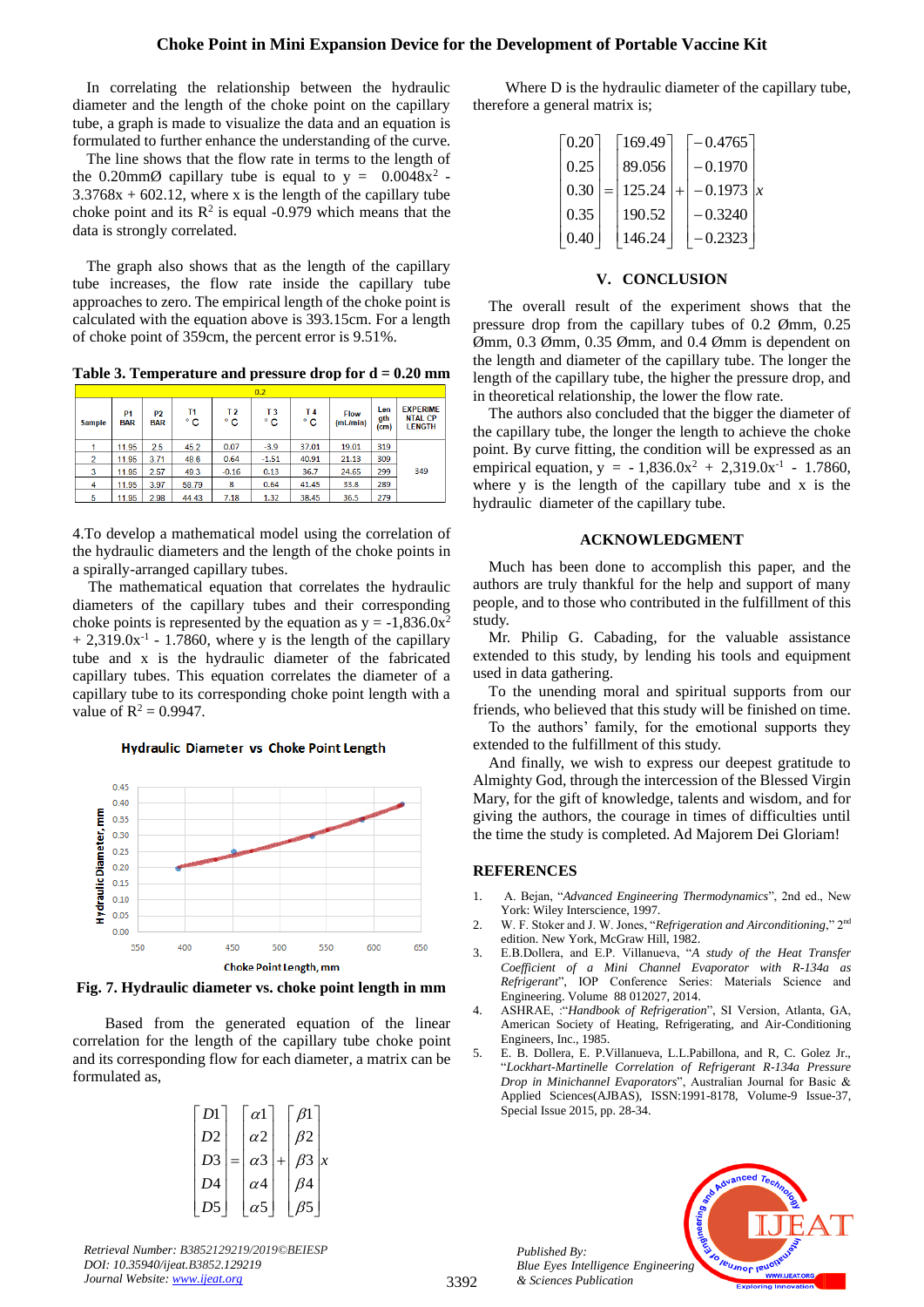## **Choke Point in Mini Expansion Device for the Development of Portable Vaccine Kit**

In correlating the relationship between the hydraulic diameter and the length of the choke point on the capillary tube, a graph is made to visualize the data and an equation is formulated to further enhance the understanding of the curve.

The line shows that the flow rate in terms to the length of the 0.20mm $\emptyset$  capillary tube is equal to  $y = 0.0048x^2$ .  $3.3768x + 602.12$ , where x is the length of the capillary tube choke point and its  $\mathbb{R}^2$  is equal -0.979 which means that the data is strongly correlated.

The graph also shows that as the length of the capillary tube increases, the flow rate inside the capillary tube approaches to zero. The empirical length of the choke point is calculated with the equation above is 393.15cm. For a length of choke point of 359cm, the percent error is 9.51%.

**Table 3. Temperature and pressure drop for d = 0.20 mm**

|               | 0.2                          |                              |          |                      |                      |           |                         |                                 |                                                    |
|---------------|------------------------------|------------------------------|----------|----------------------|----------------------|-----------|-------------------------|---------------------------------|----------------------------------------------------|
| <b>Sample</b> | P <sub>1</sub><br><b>BAR</b> | P <sub>2</sub><br><b>BAR</b> | Τ1<br>۰c | T <sub>2</sub><br>۰c | T <sub>3</sub><br>۰c | T 4<br>۰c | <b>Flow</b><br>(mL/min) | Len<br>gth<br>(c <sub>m</sub> ) | <b>EXPERIME</b><br><b>NTAL CP</b><br><b>LENGTH</b> |
|               | 11.95                        | 2.5                          | 45.2     | 0.07                 | $-3.9$               | 37.01     | 19.01                   | 319                             |                                                    |
| 2             | 11.95                        | 3.71                         | 48.6     | 0.64                 | $-1.51$              | 40.91     | 21.13                   | 309                             |                                                    |
| 3             | 11.95                        | 2.57                         | 49.3     | $-0.16$              | 0.13                 | 36.7      | 24.65                   | 299                             | 349                                                |
| 4             | 11.95                        | 3.97                         | 58.79    | 8                    | 0.64                 | 41.45     | 33.8                    | 289                             |                                                    |
| 5             | 11.95                        | 2.98                         | 44.43    | 7.18                 | 1.32                 | 38.45     | 36.5                    | 279                             |                                                    |

4.To develop a mathematical model using the correlation of the hydraulic diameters and the length of the choke points in a spirally-arranged capillary tubes.

The mathematical equation that correlates the hydraulic diameters of the capillary tubes and their corresponding choke points is represented by the equation as  $y = -1.836.0x^2$  $+ 2,319.0x^{-1}$  - 1.7860, where y is the length of the capillary tube and x is the hydraulic diameter of the fabricated capillary tubes. This equation correlates the diameter of a capillary tube to its corresponding choke point length with a value of  $R^2 = 0.9947$ .

Hydraulic Diameter vs Choke Point Length



**Fig. 7. Hydraulic diameter vs. choke point length in mm**

Based from the generated equation of the linear correlation for the length of the capillary tube choke point and its corresponding flow for each diameter, a matrix can be formulated as,

| D1             |     | $\alpha$ 1            | $\beta$ 1    |  |
|----------------|-----|-----------------------|--------------|--|
| D <sub>2</sub> |     | $\alpha$ 2            | $\beta$ 2    |  |
| D <sub>3</sub> | $=$ | $\alpha$ <sup>3</sup> | $\beta$ 3  x |  |
| D4             |     | $\alpha$ 4            | $\beta$ 4    |  |
| D <sub>5</sub> |     | $\alpha$ 5            | В5           |  |

*Retrieval Number: B3852129219/2019©BEIESP DOI: 10.35940/ijeat.B3852.129219 Journal Website[: www.ijeat.org](http://www.ijeat.org/)*

Where D is the hydraulic diameter of the capillary tube, therefore a general matrix is;

| $\lceil 0.20 \rceil$ |     | 169.49 | $-0.4765$ |  |
|----------------------|-----|--------|-----------|--|
| 0.25                 |     | 89.056 | $-0.1970$ |  |
| 0.30                 | $=$ | 125.24 | $-0.1973$ |  |
| 0.35                 |     | 190.52 | $-0.3240$ |  |
| 0.40                 |     | 146.24 | $-0.2323$ |  |

## **V. CONCLUSION**

The overall result of the experiment shows that the pressure drop from the capillary tubes of 0.2 Ømm, 0.25 Ømm, 0.3 Ømm, 0.35 Ømm, and 0.4 Ømm is dependent on the length and diameter of the capillary tube. The longer the length of the capillary tube, the higher the pressure drop, and in theoretical relationship, the lower the flow rate.

The authors also concluded that the bigger the diameter of the capillary tube, the longer the length to achieve the choke point. By curve fitting, the condition will be expressed as an empirical equation,  $y = -1,836.0x^2 + 2,319.0x^{-1} - 1.7860$ , where y is the length of the capillary tube and x is the hydraulic diameter of the capillary tube.

#### **ACKNOWLEDGMENT**

Much has been done to accomplish this paper, and the authors are truly thankful for the help and support of many people, and to those who contributed in the fulfillment of this study.

Mr. Philip G. Cabading, for the valuable assistance extended to this study, by lending his tools and equipment used in data gathering.

To the unending moral and spiritual supports from our friends, who believed that this study will be finished on time.

To the authors' family, for the emotional supports they extended to the fulfillment of this study.

And finally, we wish to express our deepest gratitude to Almighty God, through the intercession of the Blessed Virgin Mary, for the gift of knowledge, talents and wisdom, and for giving the authors, the courage in times of difficulties until the time the study is completed. Ad Majorem Dei Gloriam!

#### **REFERENCES**

- 1. A. Bejan, "*Advanced Engineering Thermodynamics*", 2nd ed., New York: Wiley Interscience, 1997.
- 2. W. F. Stoker and J. W. Jones, "*Refrigeration and Airconditioning*," 2nd edition. New York, McGraw Hill, 1982.
- 3. E.B.Dollera, and E.P. Villanueva, "*A study of the Heat Transfer Coefficient of a Mini Channel Evaporator with R-134a as Refrigerant*", IOP Conference Series: Materials Science and Engineering. Volume 88 012027, 2014.
- 4. ASHRAE, :"*Handbook of Refrigeration*", SI Version, Atlanta, GA, American Society of Heating, Refrigerating, and Air-Conditioning Engineers, Inc., 1985.
- 5. E. B. Dollera, E. P.Villanueva, L.L.Pabillona, and R, C. Golez Jr., "*Lockhart-Martinelle Correlation of Refrigerant R-134a Pressure Drop in Minichannel Evaporators*", Australian Journal for Basic & Applied Sciences(AJBAS), ISSN:1991-8178, Volume-9 Issue-37, Special Issue 2015, pp. 28-34.

*Published By: Blue Eyes Intelligence Engineering & Sciences Publication*